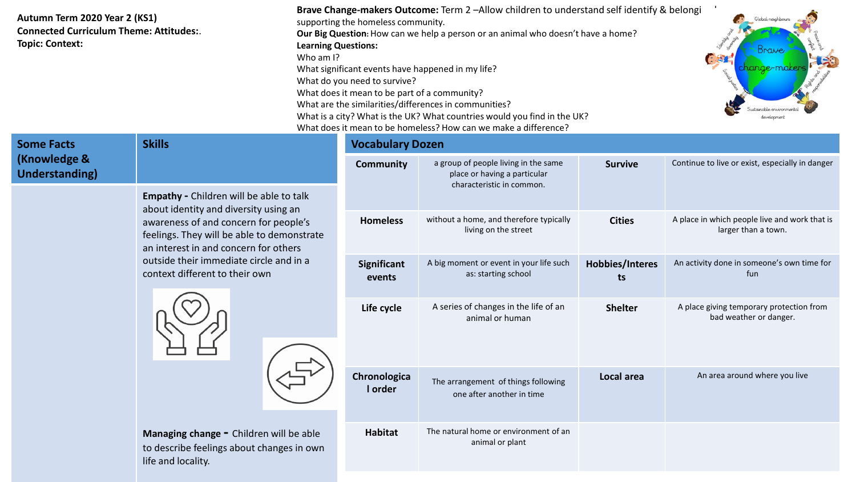## **Autumn Term 2020 Year 2 (KS1) Connected Curriculum Theme: Attitudes:**. **Topic: Context:**

| <b>Brave Change-makers Outcome:</b> Term 2-Allow children to understand self identify & belongi |        |
|-------------------------------------------------------------------------------------------------|--------|
| supporting the homeless community.                                                              |        |
| Our Big Question: How can we help a person or an animal who doesn't have a home?                |        |
| <b>Learning Questions:</b>                                                                      | Cookin |
| Who am I?                                                                                       | GO     |
| What significant events have happened in my life?                                               |        |
| What do you need to survive?                                                                    |        |
| What does it mean to be part of a community?                                                    |        |
| What are the similarities/differences in communities?                                           |        |
| What is a city? What is the UK? What countries would you find in the UK?                        |        |
| What does it mean to be homeless? How can we make a difference?                                 |        |



| <b>Some Facts</b><br>(Knowledge &<br><b>Understanding)</b>                                                                                                                                                | <b>Skills</b>                                                                                              | <b>Vocabulary Dozen</b>                                          |                                                                                                   |                                                                    |                                                                      |
|-----------------------------------------------------------------------------------------------------------------------------------------------------------------------------------------------------------|------------------------------------------------------------------------------------------------------------|------------------------------------------------------------------|---------------------------------------------------------------------------------------------------|--------------------------------------------------------------------|----------------------------------------------------------------------|
|                                                                                                                                                                                                           |                                                                                                            | <b>Community</b>                                                 | a group of people living in the same<br>place or having a particular<br>characteristic in common. | <b>Survive</b>                                                     | Continue to live or exist, especially in danger                      |
|                                                                                                                                                                                                           | <b>Empathy - Children will be able to talk</b><br>about identity and diversity using an                    |                                                                  |                                                                                                   |                                                                    |                                                                      |
| awareness of and concern for people's<br>feelings. They will be able to demonstrate<br>an interest in and concern for others<br>outside their immediate circle and in a<br>context different to their own |                                                                                                            | <b>Homeless</b>                                                  | without a home, and therefore typically<br>living on the street                                   | <b>Cities</b>                                                      | A place in which people live and work that is<br>larger than a town. |
|                                                                                                                                                                                                           | Significant<br>events                                                                                      | A big moment or event in your life such<br>as: starting school   | Hobbies/Interes<br>ts                                                                             | An activity done in someone's own time for<br>fun                  |                                                                      |
|                                                                                                                                                                                                           | Life cycle                                                                                                 | A series of changes in the life of an<br>animal or human         | <b>Shelter</b>                                                                                    | A place giving temporary protection from<br>bad weather or danger. |                                                                      |
|                                                                                                                                                                                                           | Chronologica<br>I order                                                                                    | The arrangement of things following<br>one after another in time | Local area                                                                                        | An area around where you live                                      |                                                                      |
|                                                                                                                                                                                                           | Managing change - Children will be able<br>to describe feelings about changes in own<br>life and locality. | <b>Habitat</b>                                                   | The natural home or environment of an<br>animal or plant                                          |                                                                    |                                                                      |